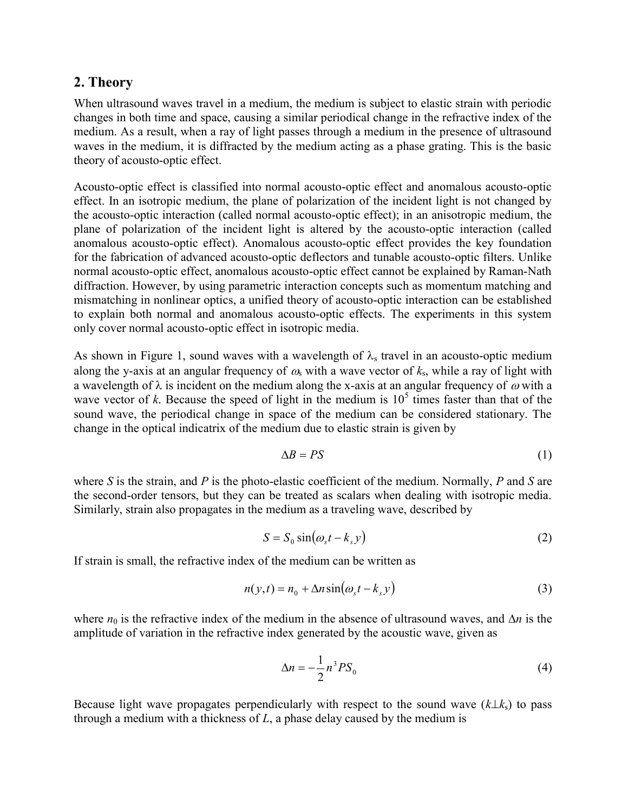## 2. Theory

When ultrasound waves travel in a medium, the medium is subject to elastic strain with periodic changes in both time and space, causing a similar periodical change in the refractive index of the medium. As a result, when a ray of light passes through a medium in the presence of ultrasound waves in the medium, it is diffracted by the medium acting as a phase grating. This is the basic theory of acousto-optic effect.

Acousto-optic effect is classified into normal acousto-optic effect and anomalous acousto-optic effect. In an isotropic medium, the plane of polarization of the incident light is not changed by the acousto-optic interaction (called normal acousto-optic effect); in an anisotropic medium, the plane of polarization of the incident light is altered by the acousto-optic interaction (called anomalous acousto-optic effect). Anomalous acousto-optic effect provides the key foundation for the fabrication of advanced acousto-optic deflectors and tunable acousto-optic filters. Unlike normal acousto-optic effect, anomalous acousto-optic effect cannot be explained by Raman-Nath diffraction. However, by using parametric interaction concepts such as momentum matching and mismatching in nonlinear optics, a unified theory of acousto-optic interaction can be established to explain both normal and anomalous acousto-optic effects. The experiments in this system only cover normal acousto-optic effect in isotropic media.

As shown in Figure 1, sound waves with a wavelength of  $\lambda_s$  travel in an acousto-optic medium along the y-axis at an angular frequency of  $\omega_s$  with a wave vector of  $k_s$ , while a ray of light with a wavelength of  $\lambda$  is incident on the medium along the x-axis at an angular frequency of  $\omega$  with a wave vector of k. Because the speed of light in the medium is  $10^5$  times faster than that of the sound wave, the periodical change in space of the medium can be considered stationary. The change in the optical indicatrix of the medium due to elastic strain is given by

$$
\Delta B = PS \tag{1}
$$

where S is the strain, and P is the photo-elastic coefficient of the medium. Normally, P and S are the second-order tensors, but they can be treated as scalars when dealing with isotropic media. Similarly, strain also propagates in the medium as a traveling wave, described by

$$
S = S_0 \sin(\omega_s t - k_s y) \tag{2}
$$

If strain is small, the refractive index of the medium can be written as

$$
n(y,t) = n_0 + \Delta n \sin(\omega_s t - k_s y)
$$
\n(3)

where  $n_0$  is the refractive index of the medium in the absence of ultrasound waves, and  $\Delta n$  is the amplitude of variation in the refractive index generated by the acoustic wave, given as

$$
\Delta n = -\frac{1}{2} n^3 P S_0 \tag{4}
$$

Because light wave propagates perpendicularly with respect to the sound wave  $(k\perp k_s)$  to pass through a medium with a thickness of  $L$ , a phase delay caused by the medium is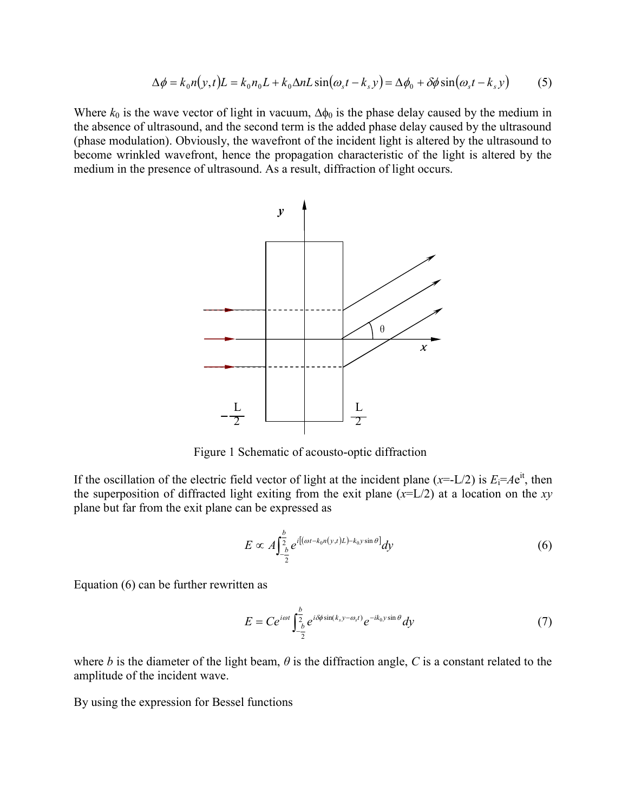$$
\Delta \phi = k_0 n(y, t) L = k_0 n_0 L + k_0 \Delta n L \sin(\omega_s t - k_s y) = \Delta \phi_0 + \delta \phi \sin(\omega_s t - k_s y) \tag{5}
$$

Where  $k_0$  is the wave vector of light in vacuum,  $\Delta \phi_0$  is the phase delay caused by the medium in the absence of ultrasound, and the second term is the added phase delay caused by the ultrasound (phase modulation). Obviously, the wavefront of the incident light is altered by the ultrasound to become wrinkled wavefront, hence the propagation characteristic of the light is altered by the medium in the presence of ultrasound. As a result, diffraction of light occurs.



Figure 1 Schematic of acousto-optic diffraction

If the oscillation of the electric field vector of light at the incident plane (x=-L/2) is  $E_i= Ae^{it}$ , then the superposition of diffracted light exiting from the exit plane  $(x=L/2)$  at a location on the xy plane but far from the exit plane can be expressed as

$$
E \propto A \int_{-\frac{b}{2}}^{\frac{b}{2}} e^{i[(\omega t - k_0 n(y,t)L) - k_0 y \sin \theta]} dy
$$
 (6)

Equation (6) can be further rewritten as

$$
E = Ce^{i\omega t} \int_{-\frac{b}{2}}^{\frac{b}{2}} e^{i\delta\phi \sin(k_s y - \omega_s t)} e^{-ik_0 y \sin\theta} dy
$$
 (7)

where b is the diameter of the light beam,  $\theta$  is the diffraction angle, C is a constant related to the amplitude of the incident wave.

By using the expression for Bessel functions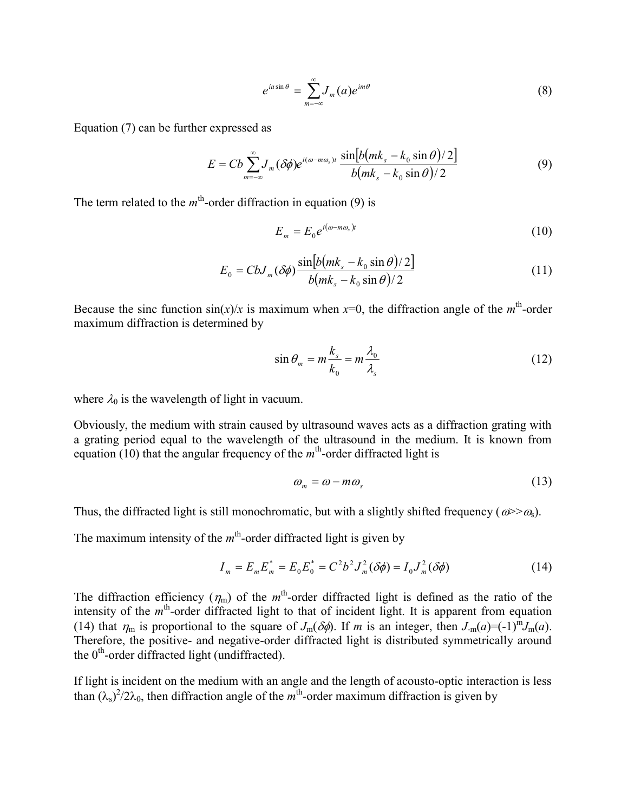$$
e^{ia\sin\theta} = \sum_{m=-\infty}^{\infty} J_m(a)e^{im\theta} \tag{8}
$$

Equation (7) can be further expressed as

$$
e^{ia\sin\theta} = \sum_{m=-\infty}^{\infty} J_m(a)e^{im\theta}
$$
(8)  
expressed as  

$$
E = Cb \sum_{m=-\infty}^{\infty} J_m(\delta\phi)e^{i(\omega - m\omega_s)t} \frac{\sin[b(mk_s - k_0 \sin \theta)/2]}{b(mk_s - k_0 \sin \theta)/2}
$$
(9)  
order diffraction in equation (9) is  

$$
E_m = E_0 e^{i(\omega - m\omega_s)t}
$$
(10)  

$$
E_0 = CbJ_m(\delta\phi) \frac{\sin[b(mk_s - k_0 \sin \theta)/2]}{b(mk_s - k_0 \sin \theta)/2}
$$
(11)  

$$
\sin(x)/x
$$
 is maximum when  $x=0$ , the diffraction angle of the  $m^{\text{th}}$ -order  
termined by

The term related to the  $m<sup>th</sup>$ -order diffraction in equation (9) is

$$
E_m = E_0 e^{i(\omega - m\omega_s)t} \tag{10}
$$

$$
E_0 = CbJ_m(\delta\phi) \frac{\sin[b(mk_s - k_0 \sin \theta)/2]}{b(mk_s - k_0 \sin \theta)/2}
$$
(11)

Because the sinc function  $sin(x)/x$  is maximum when  $x=0$ , the diffraction angle of the  $m<sup>th</sup>$ -order maximum diffraction is determined by

$$
\sin \theta_m = m \frac{k_s}{k_0} = m \frac{\lambda_0}{\lambda_s} \tag{12}
$$

where  $\lambda_0$  is the wavelength of light in vacuum.

Obviously, the medium with strain caused by ultrasound waves acts as a diffraction grating with a grating period equal to the wavelength of the ultrasound in the medium. It is known from equation (10) that the angular frequency of the  $m<sup>th</sup>$ -order diffracted light is

$$
\omega_m = \omega - m\omega_s \tag{13}
$$

Thus, the diffracted light is still monochromatic, but with a slightly shifted frequency ( $\omega > \omega_s$ ).

The maximum intensity of the  $m<sup>th</sup>$ -order diffracted light is given by

$$
I_m = E_m E_m^* = E_0 E_0^* = C^2 b^2 J_m^2 (\delta \phi) = I_0 J_m^2 (\delta \phi)
$$
 (14)

The diffraction efficiency  $(\eta_m)$  of the m<sup>th</sup>-order diffracted light is defined as the ratio of the intensity of the  $m<sup>th</sup>$ -order diffracted light to that of incident light. It is apparent from equation (14) that  $\eta_m$  is proportional to the square of  $J_m(\delta\phi)$ . If m is an integer, then  $J_m(a) = (-1)^m J_m(a)$ . Therefore, the positive- and negative-order diffracted light is distributed symmetrically around the  $0<sup>th</sup>$ -order diffracted light (undiffracted).

If light is incident on the medium with an angle and the length of acousto-optic interaction is less than  $(\lambda_s)^2/2\lambda_0$ , then diffraction angle of the m<sup>th</sup>-order maximum diffraction is given by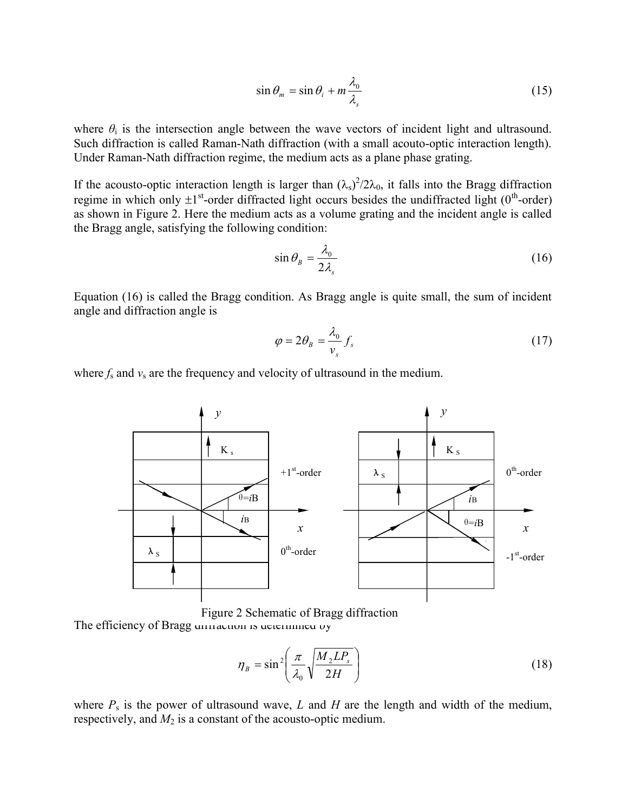$$
\sin \theta_m = \sin \theta_i + m \frac{\lambda_0}{\lambda_s} \tag{15}
$$

where  $\theta_i$  is the intersection angle between the wave vectors of incident light and ultrasound. Such diffraction is called Raman-Nath diffraction (with a small acouto-optic interaction length). Under Raman-Nath diffraction regime, the medium acts as a plane phase grating.

If the acousto-optic interaction length is larger than  $(\lambda_s)^2/2\lambda_0$ , it falls into the Bragg diffraction regime in which only  $\pm 1^{st}$ -order diffracted light occurs besides the undiffracted light (0<sup>th</sup>-order) as shown in Figure 2. Here the medium acts as a volume grating and the incident angle is called the Bragg angle, satisfying the following condition:

$$
\sin \theta_{B} = \frac{\lambda_{0}}{2\lambda_{s}} \tag{16}
$$

Equation (16) is called the Bragg condition. As Bragg angle is quite small, the sum of incident angle and diffraction angle is

$$
\varphi = 2\theta_{B} = \frac{\lambda_{0}}{v_{s}} f_{s}
$$
\n(17)

where  $f_s$  and  $v_s$  are the frequency and velocity of ultrasound in the medium.



The efficiency of Bragg unnaction is determined by Figure 2 Schematic of Bragg diffraction

$$
\eta_B = \sin^2\left(\frac{\pi}{\lambda_0} \sqrt{\frac{M_2 L P_s}{2H}}\right) \tag{18}
$$

where  $P_s$  is the power of ultrasound wave, L and H are the length and width of the medium, respectively, and  $M_2$  is a constant of the acousto-optic medium.